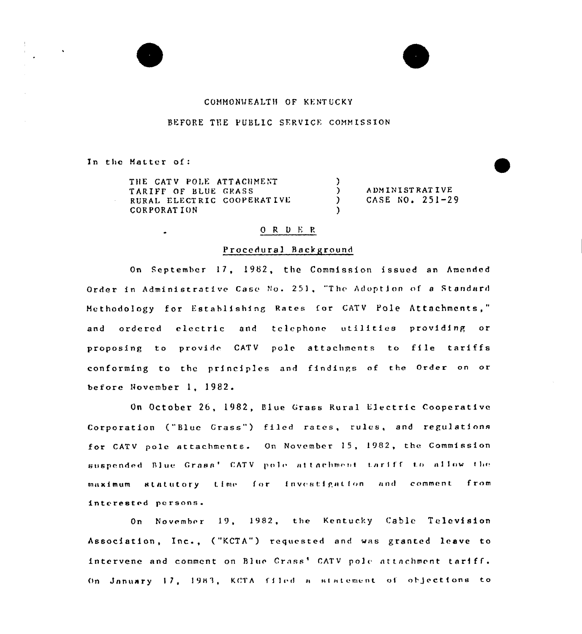#### COMMONWEALTH OF KENTUCKY

### BEFORE THE PUBLIC SERVICE COMMISSION

In the Matter of:

 $\bullet$ 

THE CATV POLE ATTACHMENT TARIFF OF BLUE GRASS RURAL ELECTRIC COOPERATIVE CORPORATION

**ADMINISTRATIVE** CASE NO. 251-29

### $0 R D E R$

 $\lambda$ 

 $\lambda$ 

 $\mathcal{L}$ 

#### Procedural Background

On September 17, 1982, the Commission issued an Amended Order in Administrative Case No. 251, "The Adoption of a Standard Methodology for Establishing Rates for CATV Pole Attachments," and ordered electric and telephone utilities providing or proposing to provide CATV pole attachments to file tariffs conforming to the principles and findings of the Order on or before November 1, 1982.

On October 26, 1982, Blue Grass Rural Electric Cooperative Corporation ("Blue Grass") filed rates, rules, and regulations for CATV pole attachments. On November 15, 1982, the Commission suspended Blue Grass' CATV pole attachment tariff to allow the maximum statutory time for investigation and comment from interested persons.

On November 19, 1982, the Kentucky Cable Television Association, Inc., ("KCTA") requested and was granted leave to intervene and comment on Blue Crass' CATV pole attachment tariff. On January 17, 1983, KCTA filed a statement of objections to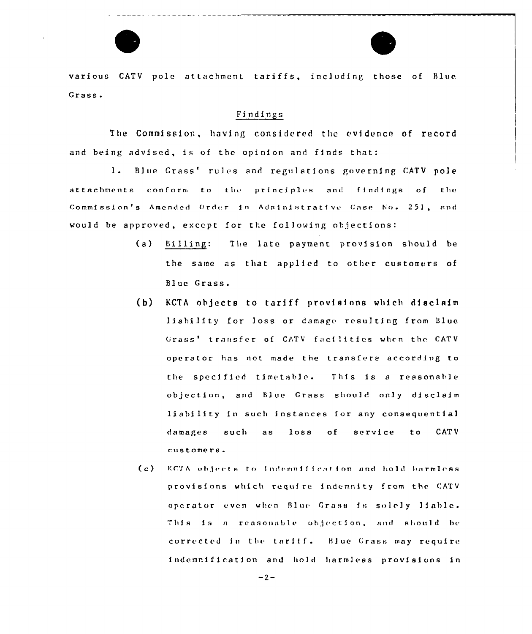

various CATV pole attachment tariffs, including those of Blue Grass.

# Findings

The Commission, having considered the evidence of record and being advised, is of the opinion and finds that:

 $1.$ Blue Grass' rules and regulations governing CATV pole attachments conform to the principles and findings of the Commission's Amended Order in Administrative Case No. 251, and would be approved, except for the following objections:

- Billing:  $(a)$ The late payment provision should be the same as that applied to other customers of Blue Grass.
- $(h)$ KCTA objects to tariff provisions which disclaim liability for loss or damage resulting from Blue Grass<sup>t</sup> transfer of CATV facilities when the CATV operator has not made the transfers according to the specified timetable. This is a reasonable objection, and Elue Crass should only disclaim liability in such instances for any consequential damages such  $loss$  $of$ service **CATV**  $\overline{a}$  s  $t<sub>0</sub>$ customers.
- $(c)$ KCTA objects to indemnification and hold barmless provisions which require indemnity from the CATV operator even when Blue Grass is solely liable. This is a reasonable objection, and should be corrected in the tariff. Blue Grass may require indemnification and hold harmless provisions in

 $-2-$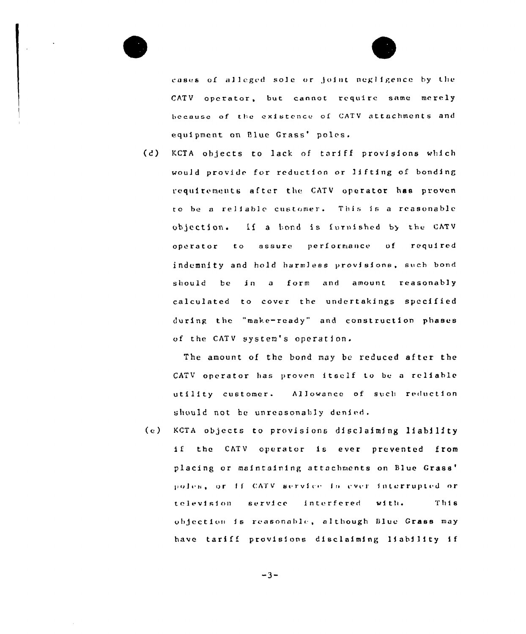

cases of alleged sole or joint negligence by the CATV operator, but cannot require same merely because of the existence of CATV attachments and equipment on Blue Grass' poles.

 $(d)$ KCTA objects to lack of tariff provisions which would provide for reduction or lifting of bonding requirements after the CATV operator has proven to be a reliable customer. This is a reasonable objection. If a bond is furnished by the CATV operator to assure performance of required indemnity and hold harmless provisions, such bond should be in a form and amount reasonably calculated to cover the undertakings specified during the "make-ready" and construction phases of the CATV system's operation.

The amount of the bond may be reduced after the CATV operator has proven itself to be a reliable utility customer. Allowance of such reduction should not be unreasonably denied.

 $(e)$ KCTA objects to provisions disclaiming liability if the CATV operator is ever prevented from placing or maintaining attachments on Blue Grass' poles, or if CATV service is ever interrupted or television service interfered with. This objection is reasonable, although Blue Grass may have tariff provisions disclaiming liability if

$$
-3 -
$$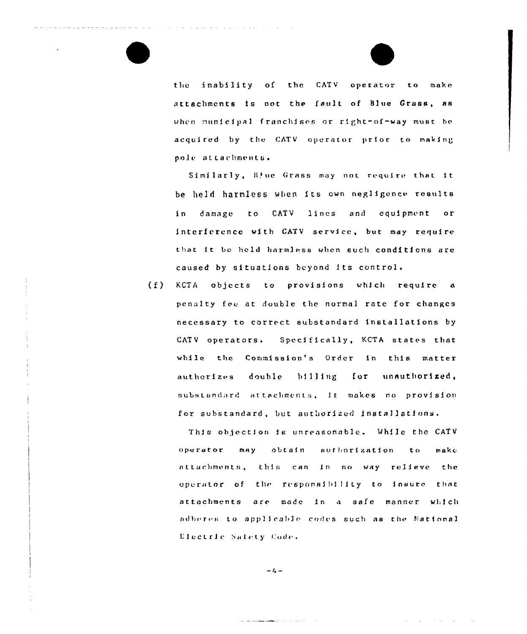the inability of the CATV operator to make attachments is not the fault of Blue Grass, as when nunicipal franchises or right-of-way must be acquired by the CATV operator prior to making pole attachments.

Similarly, Blue Grass may not require that it be held harmless when its own negligence results damage to CATV lines and equipment in  $or$ interference with CATV service, but may require that it be held harmless when such conditions are caused by situations beyond its control.

 $(f)$ KCTA objects to provisions which require a penalty fee at double the normal rate for changes necessary to correct substandard installations by CATV operators. Specifically, KCTA states that while the Commission's Order in this matter for unauthorized, authorizes double billing substandard attachments, it makes no provision for substandard, but authorized installations.

This objection is unreasonable. While the CATV operator may obtain authorization  $t \circ$  $m$ akc attachments, this can in no way relieve the operator of the responsibility to insure that attachments are made in a safe manner which adheres to applicable codes such as the National Electric Salety Code.

 $-4 -$ 

and the complete substance of the contract of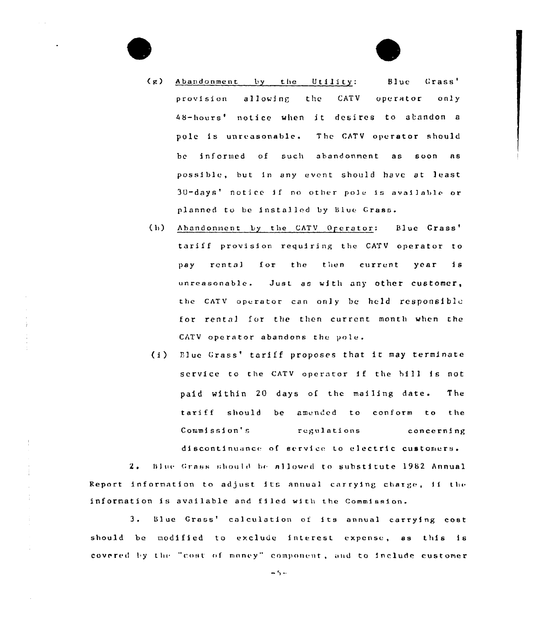- $(g)$ Abandonment by the Utility: Blue Grass' the **CATV** operator provision allowing only 48-hours' notice when it desires to abandon a pole is unreasonable. The CATV operator should be informed of such abandonment as soon as possible, but in any event should have at least 30-days' notice if no other pole is available or planned to be installed by Blue Grass.
- Abandonment by the CATV Operator: Blue Grass'  $(h)$ tariff provision requiring the CATV operator to pay rental for the then current year  $\mathbf{1} s$ unreasonable. Just as with any other customer, the CATV operator can only be held responsible for rental for the then current month when the CATV operator abandons the pole.
- (i) Elue Grass' tariff proposes that it may terminate service to the CATV operator if the bill is not paid within 20 days of the mailing date. The tariff should be amended to conform to the Commission's regulations concerning discontinuance of service to electric customers.

Blue Grass should be allowed to substitute 1982 Annual  $2.$ Report information to adjust its annual carrying charge, if the information is available and filed with the Commission.

÷

÷,

 $3.$ Blue Grass' calculation of its annual carrying cost should be modified to exclude interest expense, as this is covered by the "cost of money" component, and to include customer

 $-5 -$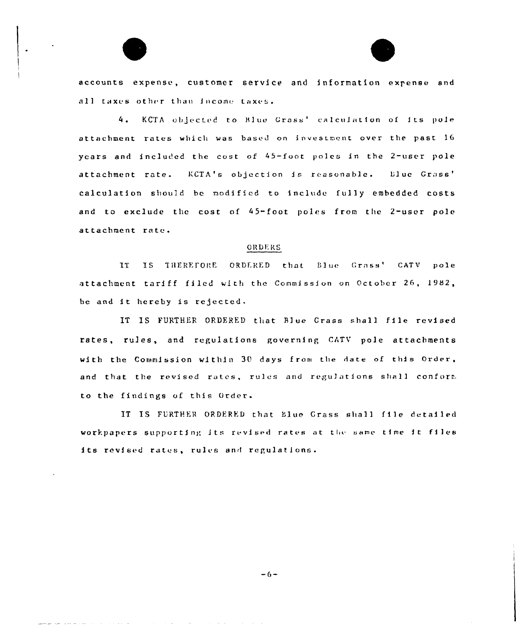accounts expense, customer service and information expense and all taxes other than income taxes.

4. KCTA objected to Blue Grass' calculation of its pole attachment rates which was based on investment over the past 16 years and included the cost of 45-foot poles in the 2-user pole attachment rate. KCTA's objection is reasonable. Eluc Grass' calculation should be modified to include fully embedded costs and to exclude the cost of 45-foot poles from the 2-user pole attachment rate.

## **ORDERS**

IS THEREFORE ORDERED that Blue Grass' CATV pole IT F attachment tariff filed with the Commission on October 26, 1982, be and it hereby is rejected.

IT IS FURTHER ORDERED that Blue Grass shall file revised rates, rules, and regulations governing CATV pole attachments with the Commission within 30 days from the date of this Order, and that the revised rates, rules and regulations shall conform to the findings of this Order.

IT IS FURTHER ORDERED that Elue Grass shall file detailed workpapers supporting its revised rates at the same time it files its revised rates, rules and regulations.

 $-6-$ 

المناسب والمناوب والمحارب والمناسب التواطئ المناوب والمناسب والمواطن والمناوب والمناسب سوادها